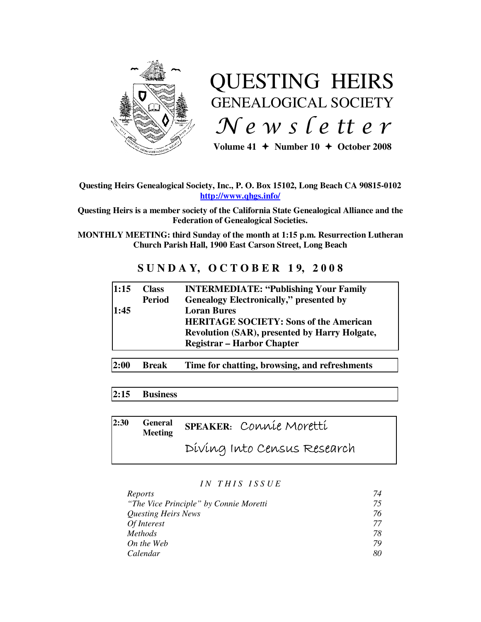

# QUESTING HEIRS GENEALOGICAL SOCIETY  $Ne$  w s letter

Volume  $41 +$  Number  $10 +$  October 2008

# **Questing Heirs Genealogical Society, Inc., P. O. Box 15102, Long Beach CA 90815-0102 http://www.qhgs.info/**

**Questing Heirs is a member society of the California State Genealogical Alliance and the Federation of Genealogical Societies.** 

**MONTHLY MEETING: third Sunday of the month at 1:15 p.m. Resurrection Lutheran Church Parish Hall, 1900 East Carson Street, Long Beach** 

# **S U N D A Y, O C T O B E R 1 9, 2 0 0 8**

| 1:15 | <b>Class</b><br><b>Period</b> | <b>INTERMEDIATE: "Publishing Your Family</b><br><b>Genealogy Electronically," presented by</b>                                                                   |
|------|-------------------------------|------------------------------------------------------------------------------------------------------------------------------------------------------------------|
| 1:45 |                               | <b>Loran Bures</b><br><b>HERITAGE SOCIETY: Sons of the American</b><br><b>Revolution (SAR), presented by Harry Holgate,</b><br><b>Registrar – Harbor Chapter</b> |
| 2:00 | <b>Break</b>                  | Time for chatting, browsing, and refreshments                                                                                                                    |

# **2:15 Business**

**2:30 General Meeting SPEAKER:** Connie Moretti Diving Into Census Research

## *I N T H I S I S S U E*

| Reports                                | 74 |
|----------------------------------------|----|
| "The Vice Principle" by Connie Moretti | 75 |
| Questing Heirs News                    | 76 |
| Of Interest                            | 77 |
| <b>Methods</b>                         | 78 |
| On the Web                             | 79 |
| Calendar                               | 80 |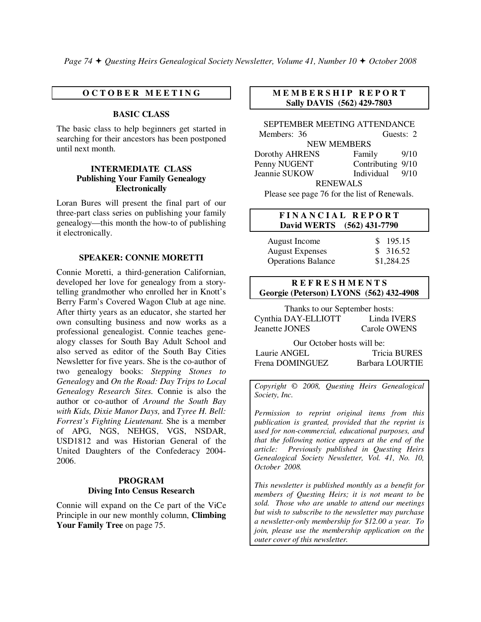*Page 74 Questing Heirs Genealogical Society Newsletter, Volume 41, Number 10 October 2008*

## **O C T O B E R M E E T I N G**

## **BASIC CLASS**

The basic class to help beginners get started in searching for their ancestors has been postponed until next month.

## **INTERMEDIATE CLASS Publishing Your Family Genealogy Electronically**

Loran Bures will present the final part of our three-part class series on publishing your family genealogy—this month the how-to of publishing it electronically.

#### **SPEAKER: CONNIE MORETTI**

Connie Moretti, a third-generation Californian, developed her love for genealogy from a storytelling grandmother who enrolled her in Knott's Berry Farm's Covered Wagon Club at age nine. After thirty years as an educator, she started her own consulting business and now works as a professional genealogist. Connie teaches genealogy classes for South Bay Adult School and also served as editor of the South Bay Cities Newsletter for five years. She is the co-author of two genealogy books: *Stepping Stones to Genealogy* and *On the Road: Day Trips to Local Genealogy Research Sites.* Connie is also the author or co-author of *Around the South Bay with Kids, Dixie Manor Days,* and *Tyree H. Bell: Forrest's Fighting Lieutenant.* She is a member of APG, NGS, NEHGS, VGS, NSDAR, USD1812 and was Historian General of the United Daughters of the Confederacy 2004- 2006.

## **PROGRAM Diving Into Census Research**

Connie will expand on the Ce part of the ViCe Principle in our new monthly column, **Climbing Your Family Tree** on page 75.

## **M E M B E R S H I P R E P O R T Sally DAVIS (562) 429-7803**

SEPTEMBER MEETING ATTENDANCE Members: 36 Guests: 2 NEW MEMBERS Dorothy AHRENS Family 9/10 Penny NUGENT Contributing 9/10 Jeannie SUKOW Individual 9/10 RENEWALS Please see page 76 for the list of Renewals.

## **F I N A N C I A L R E P O R T David WERTS (562) 431-7790**

| August Income             | \$195.15   |
|---------------------------|------------|
| <b>August Expenses</b>    | \$316.52   |
| <b>Operations Balance</b> | \$1,284.25 |

## **R E F R E S H M E N T S Georgie (Peterson) LYONS (562) 432-4908**

Thanks to our September hosts: Cynthia DAY-ELLIOTT Linda IVERS Jeanette JONES Carole OWENS

Our October hosts will be: Laurie ANGEL Tricia BURES Frena DOMINGUEZ Barbara LOURTIE

*Copyright* © *2008, Questing Heirs Genealogical Society, Inc.* 

*Permission to reprint original items from this publication is granted, provided that the reprint is used for non-commercial, educational purposes, and that the following notice appears at the end of the article: Previously published in Questing Heirs Genealogical Society Newsletter, Vol. 41, No. 10, October 2008.* 

*This newsletter is published monthly as a benefit for members of Questing Heirs; it is not meant to be sold. Those who are unable to attend our meetings but wish to subscribe to the newsletter may purchase a newsletter-only membership for \$12.00 a year. To join, please use the membership application on the outer cover of this newsletter.*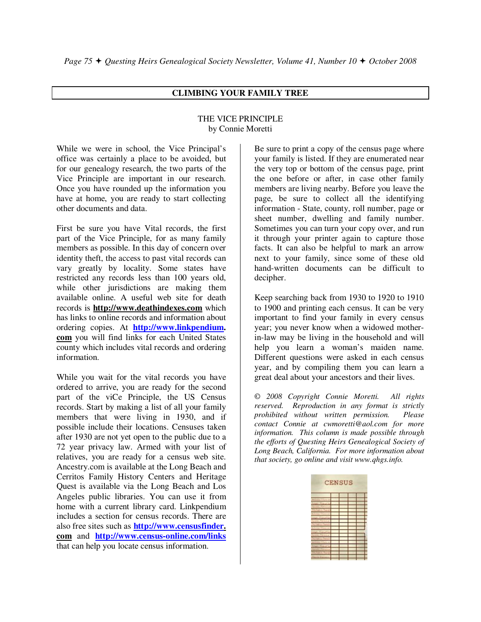# **CLIMBING YOUR FAMILY TREE**

## THE VICE PRINCIPLE by Connie Moretti

While we were in school, the Vice Principal's office was certainly a place to be avoided, but for our genealogy research, the two parts of the Vice Principle are important in our research. Once you have rounded up the information you have at home, you are ready to start collecting other documents and data.

First be sure you have Vital records, the first part of the Vice Principle, for as many family members as possible. In this day of concern over identity theft, the access to past vital records can vary greatly by locality. Some states have restricted any records less than 100 years old, while other jurisdictions are making them available online. A useful web site for death records is **http://www.deathindexes.com** which has links to online records and information about ordering copies. At **http://www.linkpendium. com** you will find links for each United States county which includes vital records and ordering information.

While you wait for the vital records you have ordered to arrive, you are ready for the second part of the viCe Principle, the US Census records. Start by making a list of all your family members that were living in 1930, and if possible include their locations. Censuses taken after 1930 are not yet open to the public due to a 72 year privacy law. Armed with your list of relatives, you are ready for a census web site. Ancestry.com is available at the Long Beach and Cerritos Family History Centers and Heritage Quest is available via the Long Beach and Los Angeles public libraries. You can use it from home with a current library card. Linkpendium includes a section for census records. There are also free sites such as **http://www.censusfinder. com** and **http://www.census-online.com/links** that can help you locate census information.

Be sure to print a copy of the census page where your family is listed. If they are enumerated near the very top or bottom of the census page, print the one before or after, in case other family members are living nearby. Before you leave the page, be sure to collect all the identifying information - State, county, roll number, page or sheet number, dwelling and family number. Sometimes you can turn your copy over, and run it through your printer again to capture those facts. It can also be helpful to mark an arrow next to your family, since some of these old hand-written documents can be difficult to decipher.

Keep searching back from 1930 to 1920 to 1910 to 1900 and printing each census. It can be very important to find your family in every census year; you never know when a widowed motherin-law may be living in the household and will help you learn a woman's maiden name. Different questions were asked in each census year, and by compiling them you can learn a great deal about your ancestors and their lives.

© *2008 Copyright Connie Moretti. All rights reserved. Reproduction in any format is strictly prohibited without written permission. Please contact Connie at cwmoretti@aol.com for more information. This column is made possible through the efforts of Questing Heirs Genealogical Society of Long Beach, California. For more information about that society, go online and visit www.qhgs.info.*

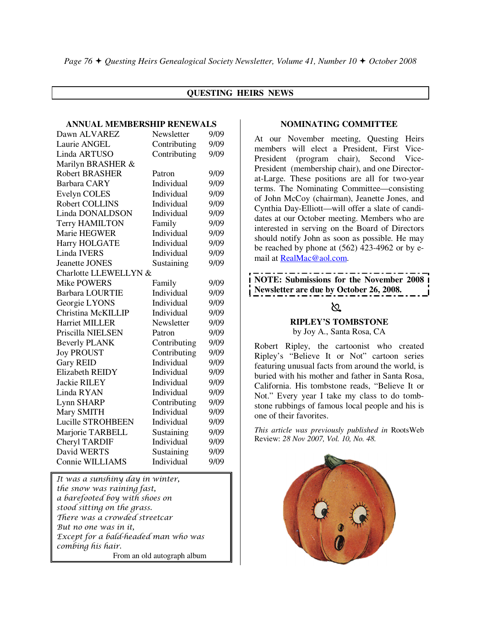# **QUESTING HEIRS NEWS**

## **ANNUAL MEMBERSHIP RENEWALS**

| Dawn ALVAREZ             | Newsletter   | 9/09 |  |  |  |
|--------------------------|--------------|------|--|--|--|
| Laurie ANGEL             | Contributing | 9/09 |  |  |  |
| Linda ARTUSO             | Contributing | 9/09 |  |  |  |
| Marilyn BRASHER &        |              |      |  |  |  |
| <b>Robert BRASHER</b>    | Patron       | 9/09 |  |  |  |
| <b>Barbara CARY</b>      | Individual   | 9/09 |  |  |  |
| <b>Evelyn COLES</b>      | Individual   | 9/09 |  |  |  |
| Robert COLLINS           | Individual   | 9/09 |  |  |  |
| Linda DONALDSON          | Individual   | 9/09 |  |  |  |
| <b>Terry HAMILTON</b>    | Family       | 9/09 |  |  |  |
| Marie HEGWER             | Individual   | 9/09 |  |  |  |
| Harry HOLGATE            | Individual   | 9/09 |  |  |  |
| <b>Linda IVERS</b>       | Individual   | 9/09 |  |  |  |
| <b>Jeanette JONES</b>    | Sustaining   | 9/09 |  |  |  |
| Charlotte LLEWELLYN &    |              |      |  |  |  |
| <b>Mike POWERS</b>       | Family       | 9/09 |  |  |  |
| <b>Barbara LOURTIE</b>   | Individual   | 9/09 |  |  |  |
| Georgie LYONS            | Individual   | 9/09 |  |  |  |
| Christina McKILLIP       | Individual   | 9/09 |  |  |  |
| <b>Harriet MILLER</b>    | Newsletter   | 9/09 |  |  |  |
| Priscilla NIELSEN        | Patron       | 9/09 |  |  |  |
| <b>Beverly PLANK</b>     | Contributing | 9/09 |  |  |  |
| <b>Joy PROUST</b>        | Contributing | 9/09 |  |  |  |
| <b>Gary REID</b>         | Individual   | 9/09 |  |  |  |
| Elizabeth REIDY          | Individual   | 9/09 |  |  |  |
| <b>Jackie RILEY</b>      | Individual   | 9/09 |  |  |  |
| Linda RYAN               | Individual   | 9/09 |  |  |  |
| Lynn SHARP               | Contributing | 9/09 |  |  |  |
| Mary SMITH               | Individual   | 9/09 |  |  |  |
| <b>Lucille STROHBEEN</b> | Individual   | 9/09 |  |  |  |
| Marjorie TARBELL         | Sustaining   | 9/09 |  |  |  |
| Cheryl TARDIF            | Individual   | 9/09 |  |  |  |
| David WERTS              | Sustaining   | 9/09 |  |  |  |
| Connie WILLIAMS          | Individual   | 9/09 |  |  |  |

It was a sunshiny day in winter, the snow was raining fast, a barefooted boy with shoes on stood sitting on the grass. There was a crowded streetcar But no one was in it, Except for a bald-headed man who was combing his hair. From an old autograph album

#### **NOMINATING COMMITTEE**

At our November meeting, Questing Heirs members will elect a President, First Vice-President (program chair), Second Vice-President (membership chair), and one Directorat-Large. These positions are all for two-year terms. The Nominating Committee—consisting of John McCoy (chairman), Jeanette Jones, and Cynthia Day-Elliott—will offer a slate of candidates at our October meeting. Members who are interested in serving on the Board of Directors should notify John as soon as possible. He may be reached by phone at (562) 423-4962 or by email at RealMac@aol.com.

# **NOTE: Submissions for the November 2008 Newsletter are due by October 26, 2008.**

# $\infty$

# **RIPLEY'S TOMBSTONE**

by Joy A., Santa Rosa, CA

Robert Ripley, the cartoonist who created Ripley's "Believe It or Not" cartoon series featuring unusual facts from around the world, is buried with his mother and father in Santa Rosa, California. His tombstone reads, "Believe It or Not." Every year I take my class to do tombstone rubbings of famous local people and his is one of their favorites.

*This article was previously published in* RootsWeb Review: *28 Nov 2007, Vol. 10, No. 48.* 

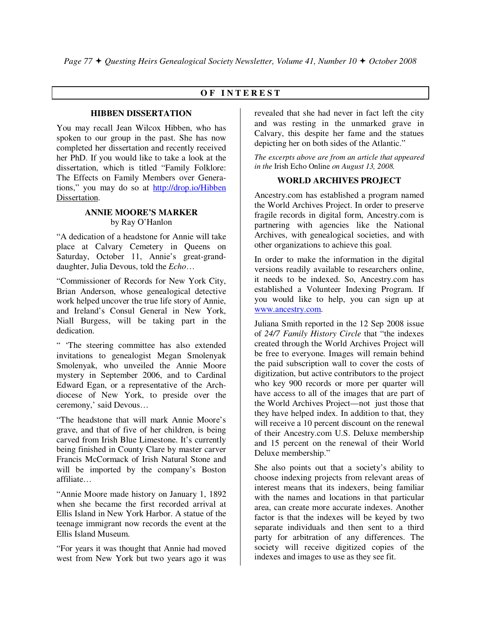# **O F I N T E R E S T**

## **HIBBEN DISSERTATION**

You may recall Jean Wilcox Hibben, who has spoken to our group in the past. She has now completed her dissertation and recently received her PhD. If you would like to take a look at the dissertation, which is titled "Family Folklore: The Effects on Family Members over Generations," you may do so at http://drop.io/Hibben Dissertation.

## **ANNIE MOORE'S MARKER**  by Ray O'Hanlon

"A dedication of a headstone for Annie will take place at Calvary Cemetery in Queens on Saturday, October 11, Annie's great-granddaughter, Julia Devous, told the *Echo*…

"Commissioner of Records for New York City, Brian Anderson, whose genealogical detective work helped uncover the true life story of Annie, and Ireland's Consul General in New York, Niall Burgess, will be taking part in the dedication.

" 'The steering committee has also extended invitations to genealogist Megan Smolenyak Smolenyak, who unveiled the Annie Moore mystery in September 2006, and to Cardinal Edward Egan, or a representative of the Archdiocese of New York, to preside over the ceremony,' said Devous…

"The headstone that will mark Annie Moore's grave, and that of five of her children, is being carved from Irish Blue Limestone. It's currently being finished in County Clare by master carver Francis McCormack of Irish Natural Stone and will be imported by the company's Boston affiliate…

"Annie Moore made history on January 1, 1892 when she became the first recorded arrival at Ellis Island in New York Harbor. A statue of the teenage immigrant now records the event at the Ellis Island Museum.

"For years it was thought that Annie had moved west from New York but two years ago it was

revealed that she had never in fact left the city and was resting in the unmarked grave in Calvary, this despite her fame and the statues depicting her on both sides of the Atlantic."

*The excerpts above are from an article that appeared in the* Irish Echo Online *on August 13, 2008.* 

# **WORLD ARCHIVES PROJECT**

Ancestry.com has established a program named the World Archives Project. In order to preserve fragile records in digital form, Ancestry.com is partnering with agencies like the National Archives, with genealogical societies, and with other organizations to achieve this goal.

In order to make the information in the digital versions readily available to researchers online, it needs to be indexed. So, Ancestry.com has established a Volunteer Indexing Program. If you would like to help, you can sign up at www.ancestry.com.

Juliana Smith reported in the 12 Sep 2008 issue of *24/7 Family History Circle* that "the indexes created through the World Archives Project will be free to everyone. Images will remain behind the paid subscription wall to cover the costs of digitization, but active contributors to the project who key 900 records or more per quarter will have access to all of the images that are part of the World Archives Project—not just those that they have helped index. In addition to that, they will receive a 10 percent discount on the renewal of their Ancestry.com U.S. Deluxe membership and 15 percent on the renewal of their World Deluxe membership."

She also points out that a society's ability to choose indexing projects from relevant areas of interest means that its indexers, being familiar with the names and locations in that particular area, can create more accurate indexes. Another factor is that the indexes will be keyed by two separate individuals and then sent to a third party for arbitration of any differences. The society will receive digitized copies of the indexes and images to use as they see fit.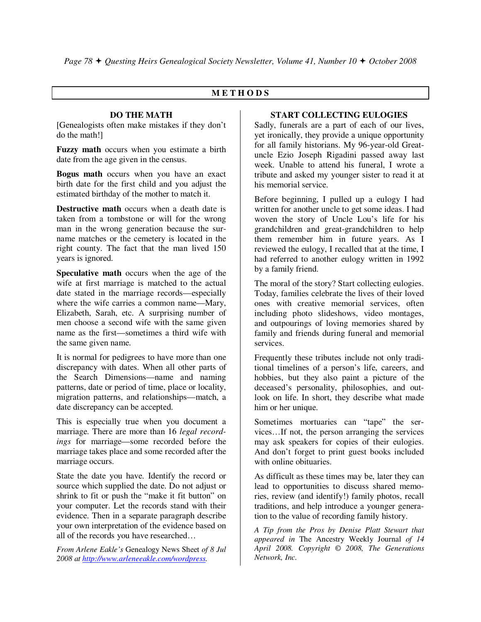# **M E T H O D S**

## **DO THE MATH**

[Genealogists often make mistakes if they don't do the math!]

**Fuzzy math** occurs when you estimate a birth date from the age given in the census.

**Bogus math** occurs when you have an exact birth date for the first child and you adjust the estimated birthday of the mother to match it.

**Destructive math** occurs when a death date is taken from a tombstone or will for the wrong man in the wrong generation because the surname matches or the cemetery is located in the right county. The fact that the man lived 150 years is ignored.

**Speculative math** occurs when the age of the wife at first marriage is matched to the actual date stated in the marriage records—especially where the wife carries a common name—Mary, Elizabeth, Sarah, etc. A surprising number of men choose a second wife with the same given name as the first—sometimes a third wife with the same given name.

It is normal for pedigrees to have more than one discrepancy with dates. When all other parts of the Search Dimensions—name and naming patterns, date or period of time, place or locality, migration patterns, and relationships—match, a date discrepancy can be accepted.

This is especially true when you document a marriage. There are more than 16 *legal recordings* for marriage—some recorded before the marriage takes place and some recorded after the marriage occurs.

State the date you have. Identify the record or source which supplied the date. Do not adjust or shrink to fit or push the "make it fit button" on your computer. Let the records stand with their evidence. Then in a separate paragraph describe your own interpretation of the evidence based on all of the records you have researched…

*From Arlene Eakle's* Genealogy News Sheet *of 8 Jul 2008 at http://www.arleneeakle.com/wordpress.* 

## **START COLLECTING EULOGIES**

Sadly, funerals are a part of each of our lives, yet ironically, they provide a unique opportunity for all family historians. My 96-year-old Greatuncle Ezio Joseph Rigadini passed away last week. Unable to attend his funeral, I wrote a tribute and asked my younger sister to read it at his memorial service.

Before beginning, I pulled up a eulogy I had written for another uncle to get some ideas. I had woven the story of Uncle Lou's life for his grandchildren and great-grandchildren to help them remember him in future years. As I reviewed the eulogy, I recalled that at the time, I had referred to another eulogy written in 1992 by a family friend.

The moral of the story? Start collecting eulogies. Today, families celebrate the lives of their loved ones with creative memorial services, often including photo slideshows, video montages, and outpourings of loving memories shared by family and friends during funeral and memorial services.

Frequently these tributes include not only traditional timelines of a person's life, careers, and hobbies, but they also paint a picture of the deceased's personality, philosophies, and outlook on life. In short, they describe what made him or her unique.

Sometimes mortuaries can "tape" the services…If not, the person arranging the services may ask speakers for copies of their eulogies. And don't forget to print guest books included with online obituaries.

As difficult as these times may be, later they can lead to opportunities to discuss shared memories, review (and identify!) family photos, recall traditions, and help introduce a younger generation to the value of recording family history.

*A Tip from the Pros by Denise Platt Stewart that appeared in* The Ancestry Weekly Journal *of 14 April 2008. Copyright © 2008, The Generations Network, Inc.*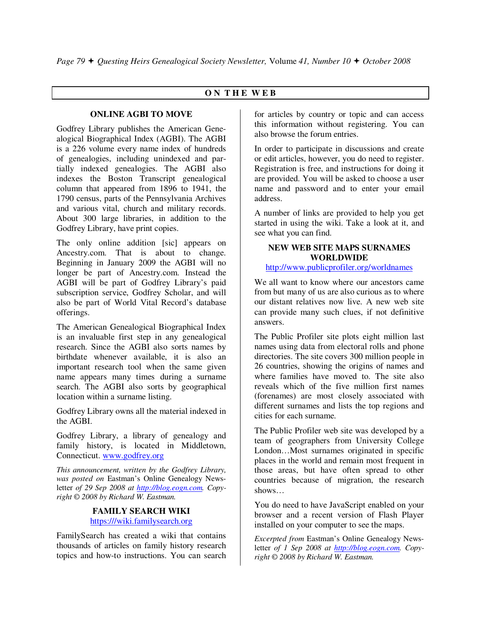# **O N T H E W E B**

## **ONLINE AGBI TO MOVE**

Godfrey Library publishes the American Genealogical Biographical Index (AGBI). The AGBI is a 226 volume every name index of hundreds of genealogies, including unindexed and partially indexed genealogies. The AGBI also indexes the Boston Transcript genealogical column that appeared from 1896 to 1941, the 1790 census, parts of the Pennsylvania Archives and various vital, church and military records. About 300 large libraries, in addition to the Godfrey Library, have print copies.

The only online addition [sic] appears on Ancestry.com. That is about to change. Beginning in January 2009 the AGBI will no longer be part of Ancestry.com. Instead the AGBI will be part of Godfrey Library's paid subscription service, Godfrey Scholar, and will also be part of World Vital Record's database offerings.

The American Genealogical Biographical Index is an invaluable first step in any genealogical research. Since the AGBI also sorts names by birthdate whenever available, it is also an important research tool when the same given name appears many times during a surname search. The AGBI also sorts by geographical location within a surname listing.

Godfrey Library owns all the material indexed in the AGBI.

Godfrey Library, a library of genealogy and family history, is located in Middletown, Connecticut. www.godfrey.org

*This announcement, written by the Godfrey Library, was posted on* Eastman's Online Genealogy Newsletter *of 29 Sep 2008 at http://blog.eogn.com. Copyright © 2008 by Richard W. Eastman.* 

## **FAMILY SEARCH WIKI**  https:///wiki.familysearch.org

FamilySearch has created a wiki that contains thousands of articles on family history research topics and how-to instructions. You can search for articles by country or topic and can access this information without registering. You can also browse the forum entries.

In order to participate in discussions and create or edit articles, however, you do need to register. Registration is free, and instructions for doing it are provided. You will be asked to choose a user name and password and to enter your email address.

A number of links are provided to help you get started in using the wiki. Take a look at it, and see what you can find.

# **NEW WEB SITE MAPS SURNAMES WORLDWIDE**

# http://www.publicprofiler.org/worldnames

We all want to know where our ancestors came from but many of us are also curious as to where our distant relatives now live. A new web site can provide many such clues, if not definitive answers.

The Public Profiler site plots eight million last names using data from electoral rolls and phone directories. The site covers 300 million people in 26 countries, showing the origins of names and where families have moved to. The site also reveals which of the five million first names (forenames) are most closely associated with different surnames and lists the top regions and cities for each surname.

The Public Profiler web site was developed by a team of geographers from University College London…Most surnames originated in specific places in the world and remain most frequent in those areas, but have often spread to other countries because of migration, the research shows…

You do need to have JavaScript enabled on your browser and a recent version of Flash Player installed on your computer to see the maps.

*Excerpted from* Eastman's Online Genealogy Newsletter *of 1 Sep 2008 at http://blog.eogn.com. Copyright © 2008 by Richard W. Eastman.*